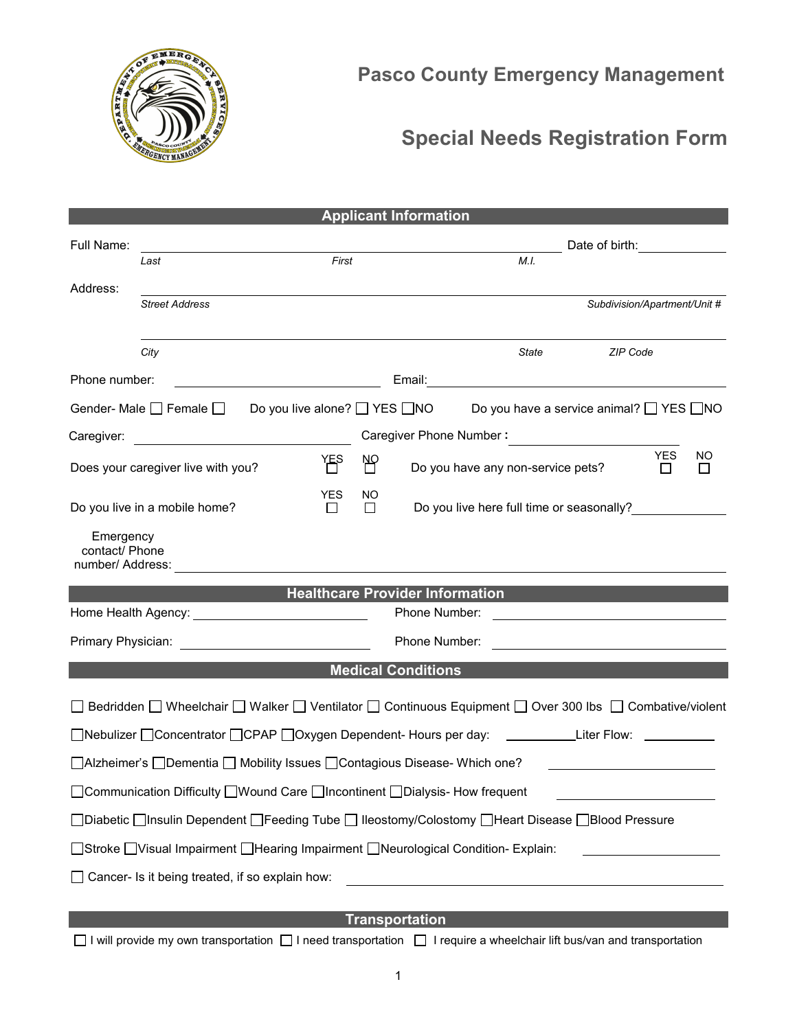

## **Special Needs Registration Form**

| <b>Applicant Information</b>                                                                             |                       |       |                                                                                |                                           |                                                                                           |                              |  |
|----------------------------------------------------------------------------------------------------------|-----------------------|-------|--------------------------------------------------------------------------------|-------------------------------------------|-------------------------------------------------------------------------------------------|------------------------------|--|
| Full Name:                                                                                               |                       |       |                                                                                |                                           | Date of birth: _______________                                                            |                              |  |
|                                                                                                          | Last                  | First |                                                                                |                                           | M.I.                                                                                      |                              |  |
| Address:                                                                                                 |                       |       |                                                                                |                                           |                                                                                           |                              |  |
|                                                                                                          | <b>Street Address</b> |       |                                                                                |                                           |                                                                                           | Subdivision/Apartment/Unit # |  |
|                                                                                                          | City                  |       |                                                                                |                                           | State                                                                                     | ZIP Code                     |  |
| Phone number:                                                                                            |                       |       |                                                                                |                                           |                                                                                           |                              |  |
| Gender- Male □ Female □ Do you live alone? □ YES □ NO<br>Do you have a service animal? □ YES □ NO        |                       |       |                                                                                |                                           |                                                                                           |                              |  |
| Caregiver:                                                                                               |                       |       | Caregiver Phone Number:                                                        |                                           |                                                                                           |                              |  |
| YES<br>Does your caregiver live with you?                                                                |                       |       | NΡ                                                                             |                                           | <b>YES</b><br><b>NO</b><br>Do you have any non-service pets?<br>$\perp$<br>$\blacksquare$ |                              |  |
| <b>YES</b><br>Do you live in a mobile home?<br>$\Box$                                                    |                       |       | NO.<br>$\Box$                                                                  | Do you live here full time or seasonally? |                                                                                           |                              |  |
| Emergency<br>contact/ Phone                                                                              |                       |       |                                                                                |                                           |                                                                                           |                              |  |
| <b>Healthcare Provider Information Example 2014</b>                                                      |                       |       |                                                                                |                                           |                                                                                           |                              |  |
| Phone Number:                                                                                            |                       |       |                                                                                |                                           |                                                                                           |                              |  |
| Primary Physician:                                                                                       |                       |       | Phone Number:<br><u> 1989 - Andrea Stadt Britain, fransk politik (d. 1989)</u> |                                           |                                                                                           |                              |  |
| <b>Medical Conditions</b>                                                                                |                       |       |                                                                                |                                           |                                                                                           |                              |  |
| ◯ Bedridden ◯ Wheelchair ◯ Walker ◯ Ventilator ◯ Continuous Equipment ◯ Over 300 lbs ◯ Combative/violent |                       |       |                                                                                |                                           |                                                                                           |                              |  |
| □Nebulizer □Concentrator □CPAP □Oxygen Dependent- Hours per day: ___________Liter Flow: __________       |                       |       |                                                                                |                                           |                                                                                           |                              |  |
| □ Alzheimer's □ Dementia □ Mobility Issues □ Contagious Disease- Which one?                              |                       |       |                                                                                |                                           |                                                                                           |                              |  |
| □ Communication Difficulty □ Wound Care □ Incontinent □ Dialysis- How frequent                           |                       |       |                                                                                |                                           |                                                                                           |                              |  |
| □Diabetic □Insulin Dependent □Feeding Tube □ Ileostomy/Colostomy □Heart Disease □Blood Pressure          |                       |       |                                                                                |                                           |                                                                                           |                              |  |
| □Stroke □Visual Impairment □Hearing Impairment □Neurological Condition- Explain:                         |                       |       |                                                                                |                                           |                                                                                           |                              |  |
| Cancer- Is it being treated, if so explain how:                                                          |                       |       |                                                                                |                                           |                                                                                           |                              |  |
|                                                                                                          |                       |       |                                                                                |                                           |                                                                                           |                              |  |
| <b>Transportation</b>                                                                                    |                       |       |                                                                                |                                           |                                                                                           |                              |  |

1

□ I will provide my own transportation □ I need transportation □ I require a wheelchair lift bus/van and transportation